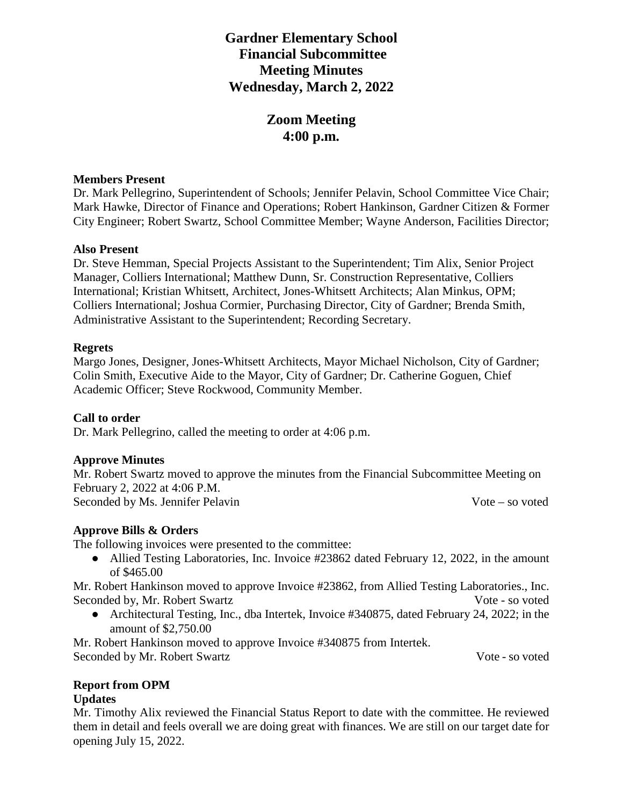# **Gardner Elementary School Financial Subcommittee Meeting Minutes Wednesday, March 2, 2022**

# **Zoom Meeting 4:00 p.m.**

#### **Members Present**

Dr. Mark Pellegrino, Superintendent of Schools; Jennifer Pelavin, School Committee Vice Chair; Mark Hawke, Director of Finance and Operations; Robert Hankinson, Gardner Citizen & Former City Engineer; Robert Swartz, School Committee Member; Wayne Anderson, Facilities Director;

## **Also Present**

Dr. Steve Hemman, Special Projects Assistant to the Superintendent; Tim Alix, Senior Project Manager, Colliers International; Matthew Dunn, Sr. Construction Representative, Colliers International; Kristian Whitsett, Architect, Jones-Whitsett Architects; Alan Minkus, OPM; Colliers International; Joshua Cormier, Purchasing Director, City of Gardner; Brenda Smith, Administrative Assistant to the Superintendent; Recording Secretary.

## **Regrets**

Margo Jones, Designer, Jones-Whitsett Architects, Mayor Michael Nicholson, City of Gardner; Colin Smith, Executive Aide to the Mayor, City of Gardner; Dr. Catherine Goguen, Chief Academic Officer; Steve Rockwood, Community Member.

# **Call to order**

Dr. Mark Pellegrino, called the meeting to order at 4:06 p.m.

# **Approve Minutes**

Mr. Robert Swartz moved to approve the minutes from the Financial Subcommittee Meeting on February 2, 2022 at 4:06 P.M. Seconded by Ms. Jennifer Pelavin Vote – so voted

# **Approve Bills & Orders**

The following invoices were presented to the committee:

• Allied Testing Laboratories, Inc. Invoice #23862 dated February 12, 2022, in the amount of \$465.00

Mr. Robert Hankinson moved to approve Invoice #23862, from Allied Testing Laboratories., Inc. Seconded by, Mr. Robert Swartz State Communication and Seconded by, Mr. Robert Swartz Vote - so voted

• Architectural Testing, Inc., dba Intertek, Invoice #340875, dated February 24, 2022; in the amount of \$2,750.00

Mr. Robert Hankinson moved to approve Invoice #340875 from Intertek. Seconded by Mr. Robert Swartz Vote - so voted

#### **Report from OPM Updates**

Mr. Timothy Alix reviewed the Financial Status Report to date with the committee. He reviewed them in detail and feels overall we are doing great with finances. We are still on our target date for opening July 15, 2022.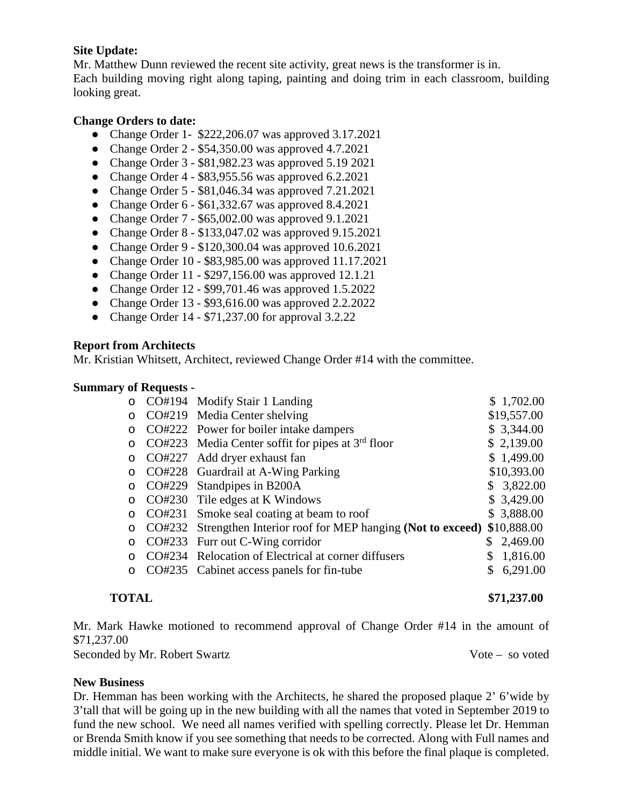## **Site Update:**

Mr. Matthew Dunn reviewed the recent site activity, great news is the transformer is in. Each building moving right along taping, painting and doing trim in each classroom, building looking great.

# **Change Orders to date:**

- Change Order 1- \$222,206.07 was approved 3.17.2021
- Change Order 2 \$54,350.00 was approved 4.7.2021
- Change Order 3 \$81,982.23 was approved 5.19 2021
- Change Order  $4 $83,955.56$  was approved  $6.2.2021$
- Change Order 5 \$81,046.34 was approved 7.21.2021
- Change Order 6 \$61,332.67 was approved 8.4.2021
- Change Order 7 \$65,002.00 was approved 9.1.2021
- Change Order 8 \$133,047.02 was approved 9.15.2021
- Change Order 9 \$120,300.04 was approved 10.6.2021
- Change Order 10 \$83,985.00 was approved 11.17.2021
- Change Order 11 \$297,156.00 was approved 12.1.21
- Change Order 12 \$99,701.46 was approved 1.5.2022
- Change Order 13 \$93,616.00 was approved 2.2.2022
- Change Order  $14 $71,237.00$  for approval  $3.2.22$

#### **Report from Architects**

Mr. Kristian Whitsett, Architect, reviewed Change Order #14 with the committee.

#### **Summary of Requests -**

| $\circ$ | CO#194 Modify Stair 1 Landing                                   |    | \$1,702.00  |
|---------|-----------------------------------------------------------------|----|-------------|
| $\circ$ | CO#219 Media Center shelving                                    |    | \$19,557.00 |
| $\circ$ | CO#222 Power for boiler intake dampers                          |    | \$3,344.00  |
| O       | CO#223 Media Center soffit for pipes at $3rd$ floor             |    | \$2,139.00  |
| $\circ$ | CO#227 Add dryer exhaust fan                                    |    | \$1,499.00  |
| $\circ$ | CO#228 Guardrail at A-Wing Parking                              |    | \$10,393.00 |
| $\circ$ | CO#229 Standpipes in B200A                                      |    | \$3,822.00  |
|         | CO#230 Tile edges at K Windows                                  |    | \$3,429.00  |
| $\circ$ | CO#231 Smoke seal coating at beam to roof                       |    | \$3,888.00  |
| $\circ$ | CO#232 Strengthen Interior roof for MEP hanging (Not to exceed) |    | \$10,888.00 |
| $\circ$ | CO#233 Furr out C-Wing corridor                                 | S. | 2,469.00    |
|         | CO#234 Relocation of Electrical at corner diffusers             |    | 1,816.00    |
|         | CO#235 Cabinet access panels for fin-tube                       |    | 6,291.00    |
|         |                                                                 |    |             |

**TOTAL** \$71,237.00

Mr. Mark Hawke motioned to recommend approval of Change Order #14 in the amount of \$71,237.00

Seconded by Mr. Robert Swartz Vote – so voted

#### **New Business**

Dr. Hemman has been working with the Architects, he shared the proposed plaque 2' 6'wide by 3'tall that will be going up in the new building with all the names that voted in September 2019 to fund the new school. We need all names verified with spelling correctly. Please let Dr. Hemman or Brenda Smith know if you see something that needs to be corrected. Along with Full names and middle initial. We want to make sure everyone is ok with this before the final plaque is completed.